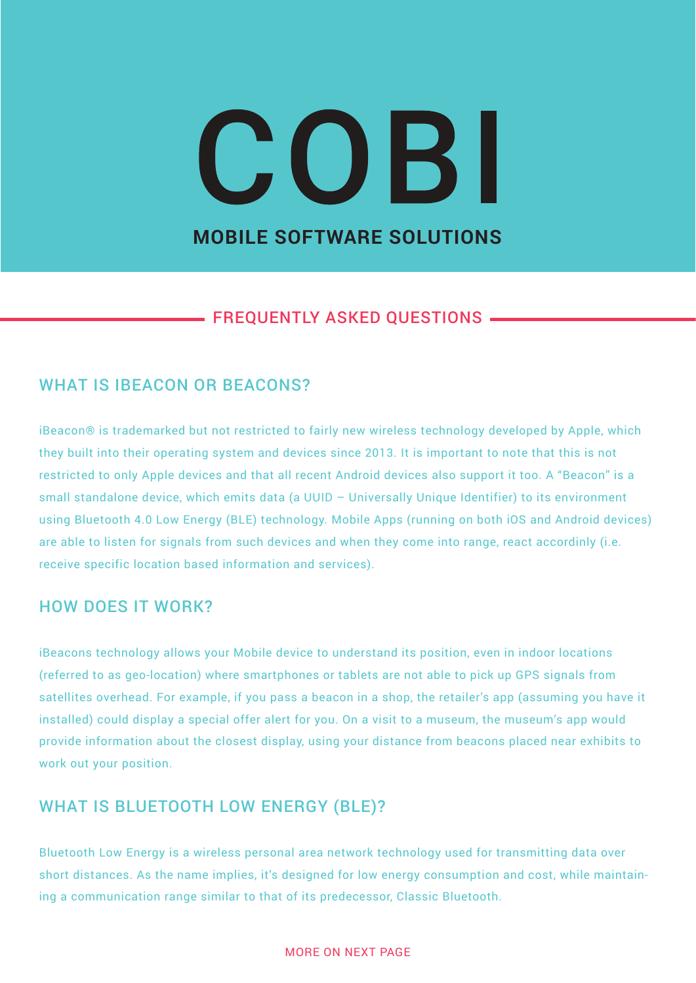# COBI **MOBILE SOFTWARE SOLUTIONS**

# - FREQUENTLY ASKED QUESTIONS -

# WHAT IS IBEACON OR BEACONS?

iBeacon® is trademarked but not restricted to fairly new wireless technology developed by Apple, which they built into their operating system and devices since 2013. It is important to note that this is not restricted to only Apple devices and that all recent Android devices also support it too. A "Beacon" is a small standalone device, which emits data (a UUID – Universally Unique Identifier) to its environment using Bluetooth 4.0 Low Energy (BLE) technology. Mobile Apps (running on both iOS and Android devices) are able to listen for signals from such devices and when they come into range, react accordinly (i.e. receive specific location based information and services).

#### HOW DOES IT WORK?

iBeacons technology allows your Mobile device to understand its position, even in indoor locations (referred to as geo-location) where smartphones or tablets are not able to pick up GPS signals from satellites overhead. For example, if you pass a beacon in a shop, the retailer's app (assuming you have it installed) could display a special offer alert for you. On a visit to a museum, the museum's app would provide information about the closest display, using your distance from beacons placed near exhibits to work out your position.

# WHAT IS BLUETOOTH LOW ENERGY (BLE)?

Bluetooth Low Energy is a wireless personal area network technology used for transmitting data over short distances. As the name implies, it's designed for low energy consumption and cost, while maintaining a communication range similar to that of its predecessor, Classic Bluetooth.

#### MORE ON NEXT PAGE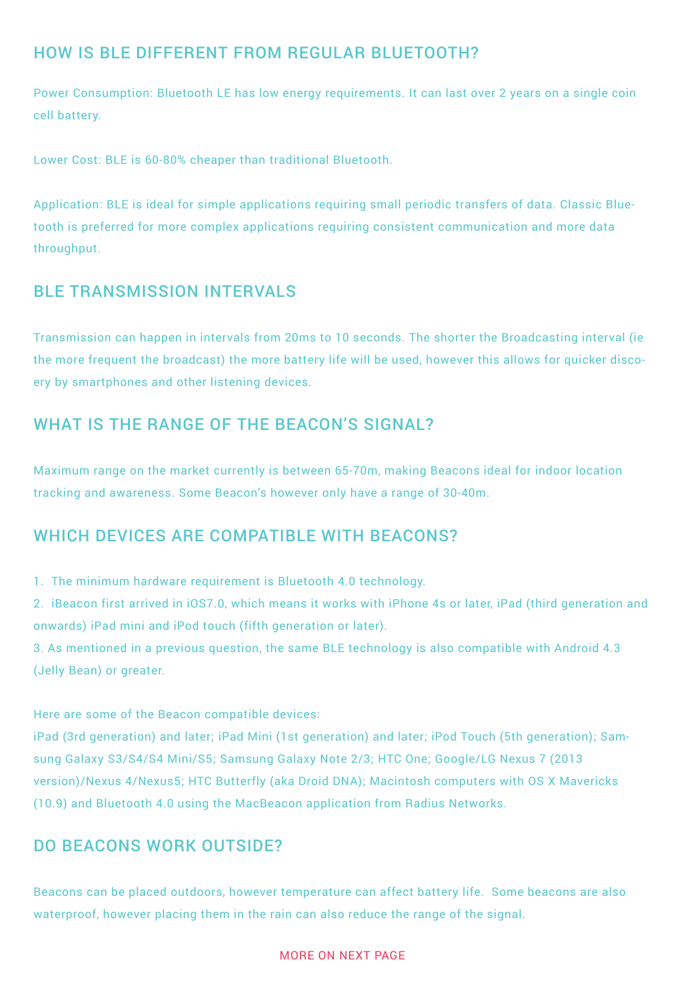# HOW IS BLE DIFFERENT FROM REGULAR BLUETOOTH?

Power Consumption: Bluetooth LE has low energy requirements. It can last over 2 years on a single coin cell battery.

Lower Cost: BLE is 60-80% cheaper than traditional Bluetooth.

Application: BLE is ideal for simple applications requiring small periodic transfers of data. Classic Bluetooth is preferred for more complex applications requiring consistent communication and more data throughput.

#### BLE TRANSMISSION INTERVALS

Transmission can happen in intervals from 20ms to 10 seconds. The shorter the Broadcasting interval (ie the more frequent the broadcast) the more battery life will be used, however this allows for quicker discoery by smartphones and other listening devices.

## WHAT IS THE RANGE OF THE BEACON'S SIGNAL?

Maximum range on the market currently is between 65-70m, making Beacons ideal for indoor location tracking and awareness. Some Beacon's however only have a range of 30-40m.

#### WHICH DEVICES ARE COMPATIBLE WITH BEACONS?

1. The minimum hardware requirement is Bluetooth 4.0 technology.

2. iBeacon first arrived in iOS7.0, which means it works with iPhone 4s or later, iPad (third generation and onwards) iPad mini and iPod touch (fifth generation or later).

3. As mentioned in a previous question, the same BLE technology is also compatible with Android 4.3 (Jelly Bean) or greater.

Here are some of the Beacon compatible devices:

iPad (3rd generation) and later; iPad Mini (1st generation) and later; iPod Touch (5th generation); Samsung Galaxy S3/S4/S4 Mini/S5; Samsung Galaxy Note 2/3; HTC One; Google/LG Nexus 7 (2013 version)/Nexus 4/Nexus5; HTC Butterfly (aka Droid DNA); Macintosh computers with OS X Mavericks (10.9) and Bluetooth 4.0 using the MacBeacon application from Radius Networks.

### DO BEACONS WORK OUTSIDE?

Beacons can be placed outdoors, however temperature can affect battery life. Some beacons are also waterproof, however placing them in the rain can also reduce the range of the signal.

#### MORE ON NEXT PAGE